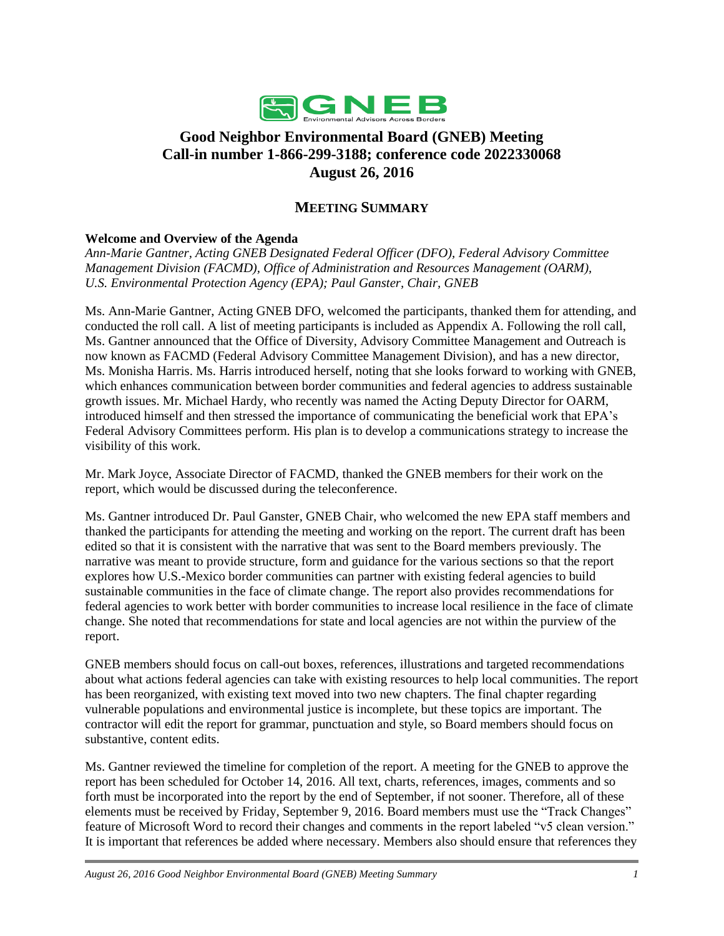

## **Good Neighbor Environmental Board (GNEB) Meeting Call-in number 1-866-299-3188; conference code 2022330068 August 26, 2016**

## **MEETING SUMMARY**

## **Welcome and Overview of the Agenda**

*Ann-Marie Gantner, Acting GNEB Designated Federal Officer (DFO), Federal Advisory Committee Management Division (FACMD), Office of Administration and Resources Management (OARM), U.S. Environmental Protection Agency (EPA); Paul Ganster, Chair, GNEB*

Ms. Ann-Marie Gantner, Acting GNEB DFO, welcomed the participants, thanked them for attending, and conducted the roll call. A list of meeting participants is included as Appendix A. Following the roll call, Ms. Gantner announced that the Office of Diversity, Advisory Committee Management and Outreach is now known as FACMD (Federal Advisory Committee Management Division), and has a new director, Ms. Monisha Harris. Ms. Harris introduced herself, noting that she looks forward to working with GNEB, which enhances communication between border communities and federal agencies to address sustainable growth issues. Mr. Michael Hardy, who recently was named the Acting Deputy Director for OARM, introduced himself and then stressed the importance of communicating the beneficial work that EPA's Federal Advisory Committees perform. His plan is to develop a communications strategy to increase the visibility of this work.

Mr. Mark Joyce, Associate Director of FACMD, thanked the GNEB members for their work on the report, which would be discussed during the teleconference.

Ms. Gantner introduced Dr. Paul Ganster, GNEB Chair, who welcomed the new EPA staff members and thanked the participants for attending the meeting and working on the report. The current draft has been edited so that it is consistent with the narrative that was sent to the Board members previously. The narrative was meant to provide structure, form and guidance for the various sections so that the report explores how U.S.-Mexico border communities can partner with existing federal agencies to build sustainable communities in the face of climate change. The report also provides recommendations for federal agencies to work better with border communities to increase local resilience in the face of climate change. She noted that recommendations for state and local agencies are not within the purview of the report.

GNEB members should focus on call-out boxes, references, illustrations and targeted recommendations about what actions federal agencies can take with existing resources to help local communities. The report has been reorganized, with existing text moved into two new chapters. The final chapter regarding vulnerable populations and environmental justice is incomplete, but these topics are important. The contractor will edit the report for grammar, punctuation and style, so Board members should focus on substantive, content edits.

Ms. Gantner reviewed the timeline for completion of the report. A meeting for the GNEB to approve the report has been scheduled for October 14, 2016. All text, charts, references, images, comments and so forth must be incorporated into the report by the end of September, if not sooner. Therefore, all of these elements must be received by Friday, September 9, 2016. Board members must use the "Track Changes" feature of Microsoft Word to record their changes and comments in the report labeled "v5 clean version." It is important that references be added where necessary. Members also should ensure that references they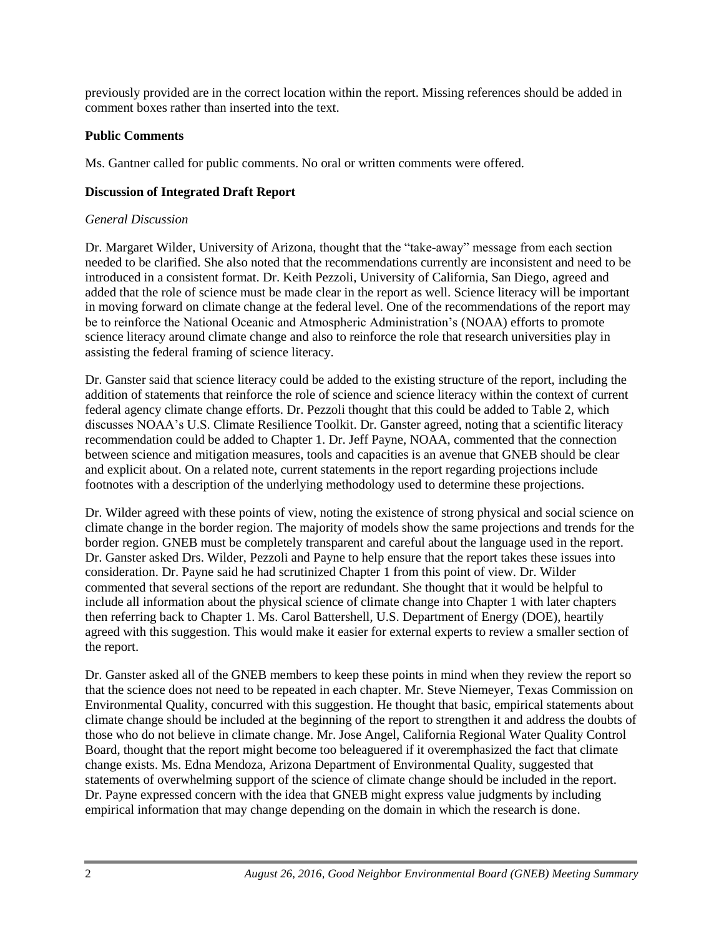previously provided are in the correct location within the report. Missing references should be added in comment boxes rather than inserted into the text.

## **Public Comments**

Ms. Gantner called for public comments. No oral or written comments were offered.

### **Discussion of Integrated Draft Report**

### *General Discussion*

Dr. Margaret Wilder, University of Arizona, thought that the "take-away" message from each section needed to be clarified. She also noted that the recommendations currently are inconsistent and need to be introduced in a consistent format. Dr. Keith Pezzoli, University of California, San Diego, agreed and added that the role of science must be made clear in the report as well. Science literacy will be important in moving forward on climate change at the federal level. One of the recommendations of the report may be to reinforce the National Oceanic and Atmospheric Administration's (NOAA) efforts to promote science literacy around climate change and also to reinforce the role that research universities play in assisting the federal framing of science literacy.

Dr. Ganster said that science literacy could be added to the existing structure of the report, including the addition of statements that reinforce the role of science and science literacy within the context of current federal agency climate change efforts. Dr. Pezzoli thought that this could be added to Table 2, which discusses NOAA's U.S. Climate Resilience Toolkit. Dr. Ganster agreed, noting that a scientific literacy recommendation could be added to Chapter 1. Dr. Jeff Payne, NOAA, commented that the connection between science and mitigation measures, tools and capacities is an avenue that GNEB should be clear and explicit about. On a related note, current statements in the report regarding projections include footnotes with a description of the underlying methodology used to determine these projections.

Dr. Wilder agreed with these points of view, noting the existence of strong physical and social science on climate change in the border region. The majority of models show the same projections and trends for the border region. GNEB must be completely transparent and careful about the language used in the report. Dr. Ganster asked Drs. Wilder, Pezzoli and Payne to help ensure that the report takes these issues into consideration. Dr. Payne said he had scrutinized Chapter 1 from this point of view. Dr. Wilder commented that several sections of the report are redundant. She thought that it would be helpful to include all information about the physical science of climate change into Chapter 1 with later chapters then referring back to Chapter 1. Ms. Carol Battershell, U.S. Department of Energy (DOE), heartily agreed with this suggestion. This would make it easier for external experts to review a smaller section of the report.

Dr. Ganster asked all of the GNEB members to keep these points in mind when they review the report so that the science does not need to be repeated in each chapter. Mr. Steve Niemeyer, Texas Commission on Environmental Quality, concurred with this suggestion. He thought that basic, empirical statements about climate change should be included at the beginning of the report to strengthen it and address the doubts of those who do not believe in climate change. Mr. Jose Angel, California Regional Water Quality Control Board, thought that the report might become too beleaguered if it overemphasized the fact that climate change exists. Ms. Edna Mendoza, Arizona Department of Environmental Quality, suggested that statements of overwhelming support of the science of climate change should be included in the report. Dr. Payne expressed concern with the idea that GNEB might express value judgments by including empirical information that may change depending on the domain in which the research is done.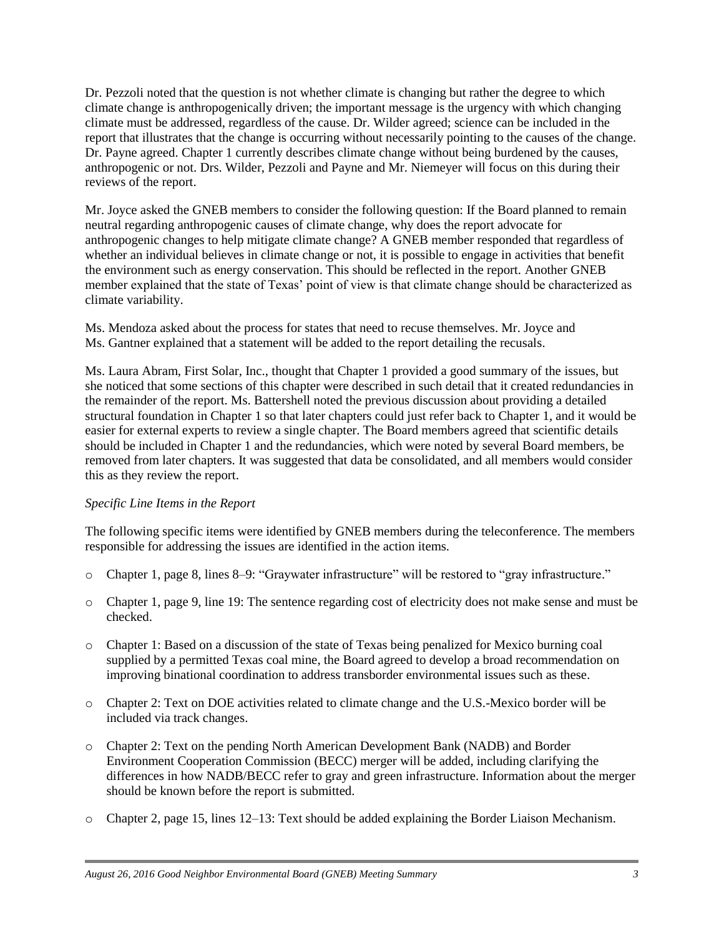Dr. Pezzoli noted that the question is not whether climate is changing but rather the degree to which climate change is anthropogenically driven; the important message is the urgency with which changing climate must be addressed, regardless of the cause. Dr. Wilder agreed; science can be included in the report that illustrates that the change is occurring without necessarily pointing to the causes of the change. Dr. Payne agreed. Chapter 1 currently describes climate change without being burdened by the causes, anthropogenic or not. Drs. Wilder, Pezzoli and Payne and Mr. Niemeyer will focus on this during their reviews of the report.

Mr. Joyce asked the GNEB members to consider the following question: If the Board planned to remain neutral regarding anthropogenic causes of climate change, why does the report advocate for anthropogenic changes to help mitigate climate change? A GNEB member responded that regardless of whether an individual believes in climate change or not, it is possible to engage in activities that benefit the environment such as energy conservation. This should be reflected in the report. Another GNEB member explained that the state of Texas' point of view is that climate change should be characterized as climate variability.

Ms. Mendoza asked about the process for states that need to recuse themselves. Mr. Joyce and Ms. Gantner explained that a statement will be added to the report detailing the recusals.

Ms. Laura Abram, First Solar, Inc., thought that Chapter 1 provided a good summary of the issues, but she noticed that some sections of this chapter were described in such detail that it created redundancies in the remainder of the report. Ms. Battershell noted the previous discussion about providing a detailed structural foundation in Chapter 1 so that later chapters could just refer back to Chapter 1, and it would be easier for external experts to review a single chapter. The Board members agreed that scientific details should be included in Chapter 1 and the redundancies, which were noted by several Board members, be removed from later chapters. It was suggested that data be consolidated, and all members would consider this as they review the report.

## *Specific Line Items in the Report*

The following specific items were identified by GNEB members during the teleconference. The members responsible for addressing the issues are identified in the action items.

- o Chapter 1, page 8, lines 8–9: "Graywater infrastructure" will be restored to "gray infrastructure."
- o Chapter 1, page 9, line 19: The sentence regarding cost of electricity does not make sense and must be checked.
- o Chapter 1: Based on a discussion of the state of Texas being penalized for Mexico burning coal supplied by a permitted Texas coal mine, the Board agreed to develop a broad recommendation on improving binational coordination to address transborder environmental issues such as these.
- o Chapter 2: Text on DOE activities related to climate change and the U.S.-Mexico border will be included via track changes.
- o Chapter 2: Text on the pending North American Development Bank (NADB) and Border Environment Cooperation Commission (BECC) merger will be added, including clarifying the differences in how NADB/BECC refer to gray and green infrastructure. Information about the merger should be known before the report is submitted.
- o Chapter 2, page 15, lines 12–13: Text should be added explaining the Border Liaison Mechanism.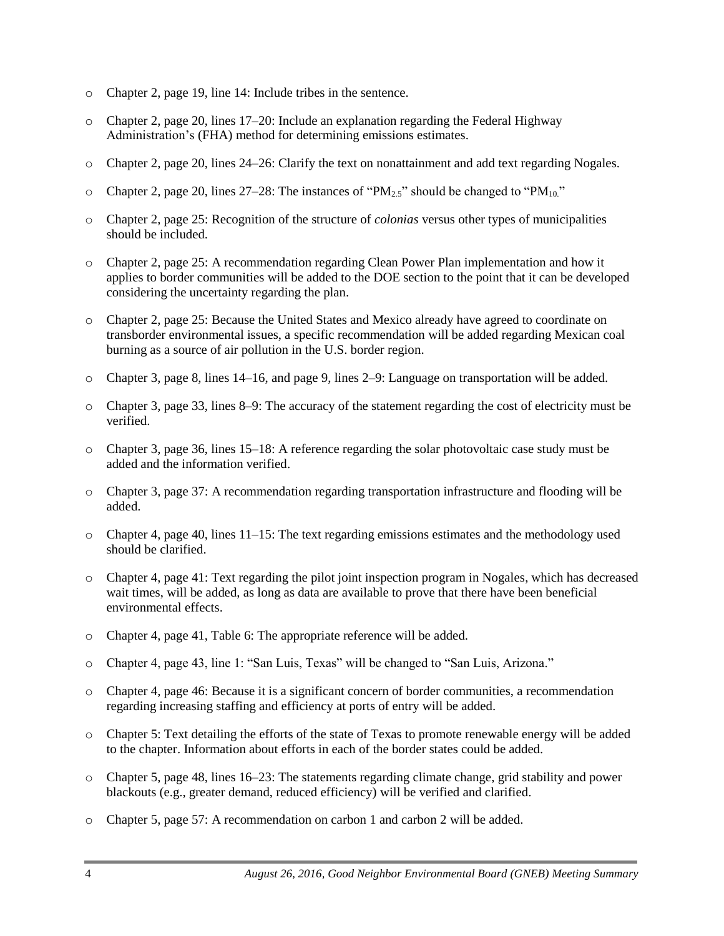- o Chapter 2, page 19, line 14: Include tribes in the sentence.
- $\circ$  Chapter 2, page 20, lines 17–20: Include an explanation regarding the Federal Highway Administration's (FHA) method for determining emissions estimates.
- o Chapter 2, page 20, lines 24–26: Clarify the text on nonattainment and add text regarding Nogales.
- $\circ$  Chapter 2, page 20, lines 27–28: The instances of "PM<sub>2.5</sub>" should be changed to "PM<sub>10</sub>."
- o Chapter 2, page 25: Recognition of the structure of *colonias* versus other types of municipalities should be included.
- o Chapter 2, page 25: A recommendation regarding Clean Power Plan implementation and how it applies to border communities will be added to the DOE section to the point that it can be developed considering the uncertainty regarding the plan.
- o Chapter 2, page 25: Because the United States and Mexico already have agreed to coordinate on transborder environmental issues, a specific recommendation will be added regarding Mexican coal burning as a source of air pollution in the U.S. border region.
- o Chapter 3, page 8, lines 14–16, and page 9, lines 2–9: Language on transportation will be added.
- o Chapter 3, page 33, lines 8–9: The accuracy of the statement regarding the cost of electricity must be verified.
- o Chapter 3, page 36, lines 15–18: A reference regarding the solar photovoltaic case study must be added and the information verified.
- o Chapter 3, page 37: A recommendation regarding transportation infrastructure and flooding will be added.
- $\circ$  Chapter 4, page 40, lines 11–15: The text regarding emissions estimates and the methodology used should be clarified.
- o Chapter 4, page 41: Text regarding the pilot joint inspection program in Nogales, which has decreased wait times, will be added, as long as data are available to prove that there have been beneficial environmental effects.
- o Chapter 4, page 41, Table 6: The appropriate reference will be added.
- o Chapter 4, page 43, line 1: "San Luis, Texas" will be changed to "San Luis, Arizona."
- o Chapter 4, page 46: Because it is a significant concern of border communities, a recommendation regarding increasing staffing and efficiency at ports of entry will be added.
- o Chapter 5: Text detailing the efforts of the state of Texas to promote renewable energy will be added to the chapter. Information about efforts in each of the border states could be added.
- o Chapter 5, page 48, lines 16–23: The statements regarding climate change, grid stability and power blackouts (e.g., greater demand, reduced efficiency) will be verified and clarified.
- o Chapter 5, page 57: A recommendation on carbon 1 and carbon 2 will be added.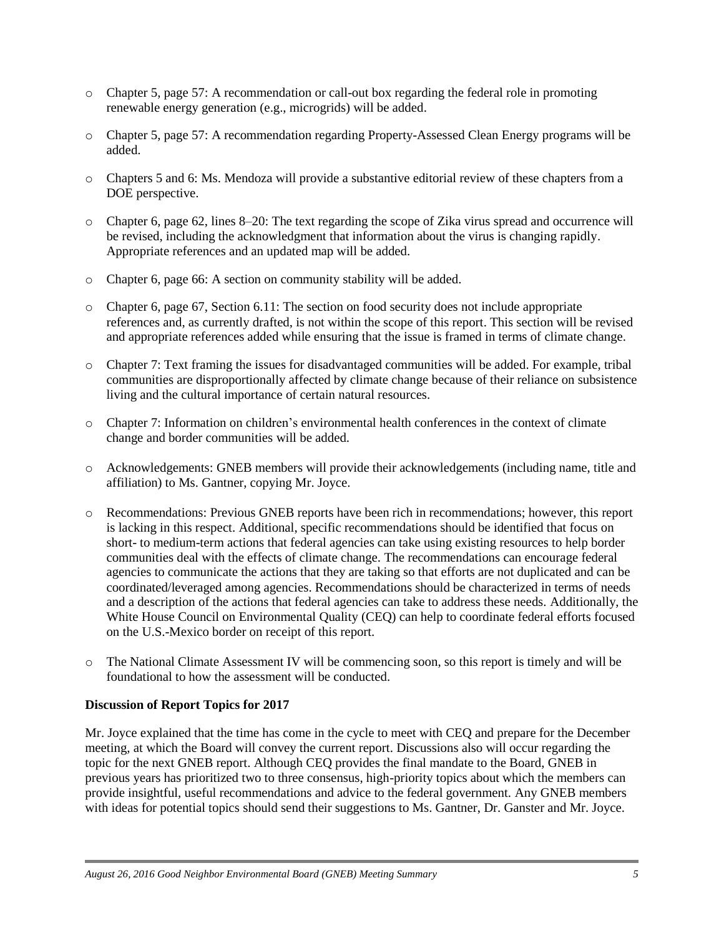- o Chapter 5, page 57: A recommendation or call-out box regarding the federal role in promoting renewable energy generation (e.g., microgrids) will be added.
- o Chapter 5, page 57: A recommendation regarding Property-Assessed Clean Energy programs will be added.
- o Chapters 5 and 6: Ms. Mendoza will provide a substantive editorial review of these chapters from a DOE perspective.
- o Chapter 6, page 62, lines 8–20: The text regarding the scope of Zika virus spread and occurrence will be revised, including the acknowledgment that information about the virus is changing rapidly. Appropriate references and an updated map will be added.
- o Chapter 6, page 66: A section on community stability will be added.
- $\circ$  Chapter 6, page 67, Section 6.11: The section on food security does not include appropriate references and, as currently drafted, is not within the scope of this report. This section will be revised and appropriate references added while ensuring that the issue is framed in terms of climate change.
- o Chapter 7: Text framing the issues for disadvantaged communities will be added. For example, tribal communities are disproportionally affected by climate change because of their reliance on subsistence living and the cultural importance of certain natural resources.
- o Chapter 7: Information on children's environmental health conferences in the context of climate change and border communities will be added.
- o Acknowledgements: GNEB members will provide their acknowledgements (including name, title and affiliation) to Ms. Gantner, copying Mr. Joyce.
- o Recommendations: Previous GNEB reports have been rich in recommendations; however, this report is lacking in this respect. Additional, specific recommendations should be identified that focus on short- to medium-term actions that federal agencies can take using existing resources to help border communities deal with the effects of climate change. The recommendations can encourage federal agencies to communicate the actions that they are taking so that efforts are not duplicated and can be coordinated/leveraged among agencies. Recommendations should be characterized in terms of needs and a description of the actions that federal agencies can take to address these needs. Additionally, the White House Council on Environmental Quality (CEQ) can help to coordinate federal efforts focused on the U.S.-Mexico border on receipt of this report.
- o The National Climate Assessment IV will be commencing soon, so this report is timely and will be foundational to how the assessment will be conducted.

## **Discussion of Report Topics for 2017**

Mr. Joyce explained that the time has come in the cycle to meet with CEQ and prepare for the December meeting, at which the Board will convey the current report. Discussions also will occur regarding the topic for the next GNEB report. Although CEQ provides the final mandate to the Board, GNEB in previous years has prioritized two to three consensus, high-priority topics about which the members can provide insightful, useful recommendations and advice to the federal government. Any GNEB members with ideas for potential topics should send their suggestions to Ms. Gantner, Dr. Ganster and Mr. Joyce.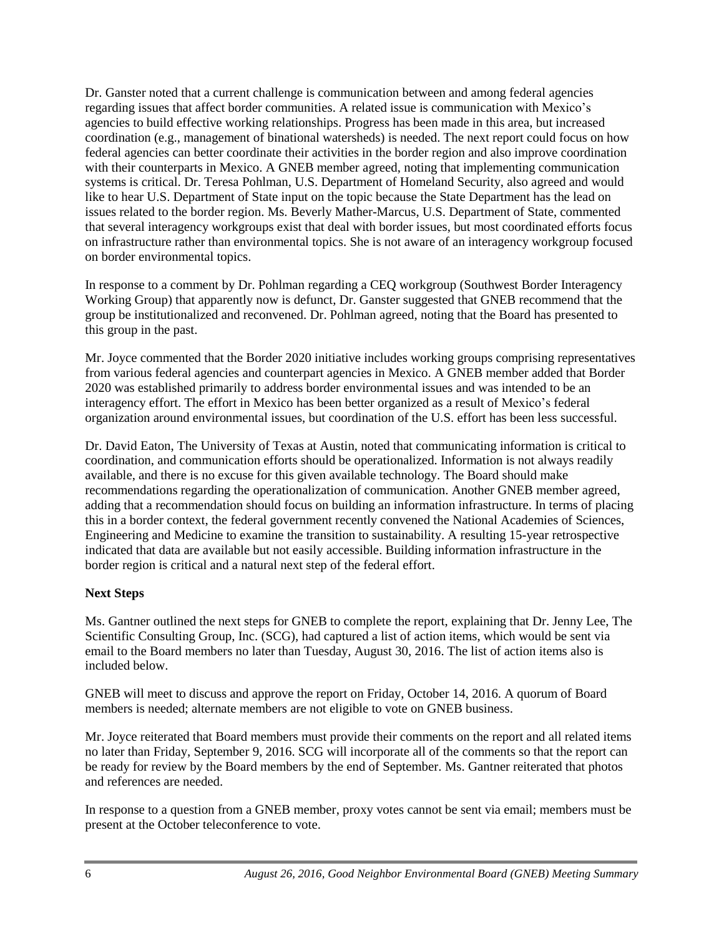Dr. Ganster noted that a current challenge is communication between and among federal agencies regarding issues that affect border communities. A related issue is communication with Mexico's agencies to build effective working relationships. Progress has been made in this area, but increased coordination (e.g., management of binational watersheds) is needed. The next report could focus on how federal agencies can better coordinate their activities in the border region and also improve coordination with their counterparts in Mexico. A GNEB member agreed, noting that implementing communication systems is critical. Dr. Teresa Pohlman, U.S. Department of Homeland Security, also agreed and would like to hear U.S. Department of State input on the topic because the State Department has the lead on issues related to the border region. Ms. Beverly Mather-Marcus, U.S. Department of State, commented that several interagency workgroups exist that deal with border issues, but most coordinated efforts focus on infrastructure rather than environmental topics. She is not aware of an interagency workgroup focused on border environmental topics.

In response to a comment by Dr. Pohlman regarding a CEQ workgroup (Southwest Border Interagency Working Group) that apparently now is defunct, Dr. Ganster suggested that GNEB recommend that the group be institutionalized and reconvened. Dr. Pohlman agreed, noting that the Board has presented to this group in the past.

Mr. Joyce commented that the Border 2020 initiative includes working groups comprising representatives from various federal agencies and counterpart agencies in Mexico. A GNEB member added that Border 2020 was established primarily to address border environmental issues and was intended to be an interagency effort. The effort in Mexico has been better organized as a result of Mexico's federal organization around environmental issues, but coordination of the U.S. effort has been less successful.

Dr. David Eaton, The University of Texas at Austin, noted that communicating information is critical to coordination, and communication efforts should be operationalized. Information is not always readily available, and there is no excuse for this given available technology. The Board should make recommendations regarding the operationalization of communication. Another GNEB member agreed, adding that a recommendation should focus on building an information infrastructure. In terms of placing this in a border context, the federal government recently convened the National Academies of Sciences, Engineering and Medicine to examine the transition to sustainability. A resulting 15-year retrospective indicated that data are available but not easily accessible. Building information infrastructure in the border region is critical and a natural next step of the federal effort.

## **Next Steps**

Ms. Gantner outlined the next steps for GNEB to complete the report, explaining that Dr. Jenny Lee, The Scientific Consulting Group, Inc. (SCG), had captured a list of action items, which would be sent via email to the Board members no later than Tuesday, August 30, 2016. The list of action items also is included below.

GNEB will meet to discuss and approve the report on Friday, October 14, 2016. A quorum of Board members is needed; alternate members are not eligible to vote on GNEB business.

Mr. Joyce reiterated that Board members must provide their comments on the report and all related items no later than Friday, September 9, 2016. SCG will incorporate all of the comments so that the report can be ready for review by the Board members by the end of September. Ms. Gantner reiterated that photos and references are needed.

In response to a question from a GNEB member, proxy votes cannot be sent via email; members must be present at the October teleconference to vote.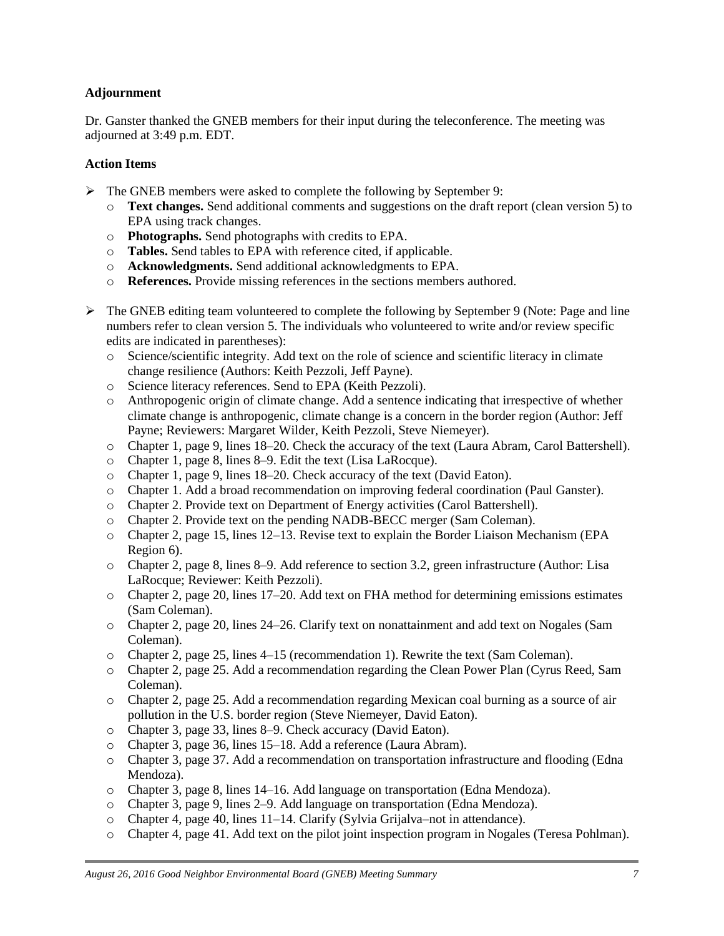### **Adjournment**

Dr. Ganster thanked the GNEB members for their input during the teleconference. The meeting was adjourned at 3:49 p.m. EDT.

### **Action Items**

- $\triangleright$  The GNEB members were asked to complete the following by September 9:
	- o **Text changes.** Send additional comments and suggestions on the draft report (clean version 5) to EPA using track changes.
	- o **Photographs.** Send photographs with credits to EPA.
	- o **Tables.** Send tables to EPA with reference cited, if applicable.
	- o **Acknowledgments.** Send additional acknowledgments to EPA.
	- o **References.** Provide missing references in the sections members authored.
- $\triangleright$  The GNEB editing team volunteered to complete the following by September 9 (Note: Page and line numbers refer to clean version 5. The individuals who volunteered to write and/or review specific edits are indicated in parentheses):
	- o Science/scientific integrity. Add text on the role of science and scientific literacy in climate change resilience (Authors: Keith Pezzoli, Jeff Payne).
	- o Science literacy references. Send to EPA (Keith Pezzoli).
	- o Anthropogenic origin of climate change. Add a sentence indicating that irrespective of whether climate change is anthropogenic, climate change is a concern in the border region (Author: Jeff Payne; Reviewers: Margaret Wilder, Keith Pezzoli, Steve Niemeyer).
	- o Chapter 1, page 9, lines 18–20. Check the accuracy of the text (Laura Abram, Carol Battershell).
	- o Chapter 1, page 8, lines 8–9. Edit the text (Lisa LaRocque).
	- o Chapter 1, page 9, lines 18–20. Check accuracy of the text (David Eaton).
	- o Chapter 1. Add a broad recommendation on improving federal coordination (Paul Ganster).
	- o Chapter 2. Provide text on Department of Energy activities (Carol Battershell).
	- o Chapter 2. Provide text on the pending NADB-BECC merger (Sam Coleman).
	- o Chapter 2, page 15, lines 12–13. Revise text to explain the Border Liaison Mechanism (EPA Region 6).
	- o Chapter 2, page 8, lines 8–9. Add reference to section 3.2, green infrastructure (Author: Lisa LaRocque; Reviewer: Keith Pezzoli).
	- o Chapter 2, page 20, lines 17–20. Add text on FHA method for determining emissions estimates (Sam Coleman).
	- o Chapter 2, page 20, lines 24–26. Clarify text on nonattainment and add text on Nogales (Sam Coleman).
	- o Chapter 2, page 25, lines 4–15 (recommendation 1). Rewrite the text (Sam Coleman).
	- o Chapter 2, page 25. Add a recommendation regarding the Clean Power Plan (Cyrus Reed, Sam Coleman).
	- o Chapter 2, page 25. Add a recommendation regarding Mexican coal burning as a source of air pollution in the U.S. border region (Steve Niemeyer, David Eaton).
	- o Chapter 3, page 33, lines 8–9. Check accuracy (David Eaton).
	- o Chapter 3, page 36, lines 15–18. Add a reference (Laura Abram).
	- o Chapter 3, page 37. Add a recommendation on transportation infrastructure and flooding (Edna Mendoza).
	- o Chapter 3, page 8, lines 14–16. Add language on transportation (Edna Mendoza).
	- o Chapter 3, page 9, lines 2–9. Add language on transportation (Edna Mendoza).
	- o Chapter 4, page 40, lines 11–14. Clarify (Sylvia Grijalva–not in attendance).
	- o Chapter 4, page 41. Add text on the pilot joint inspection program in Nogales (Teresa Pohlman).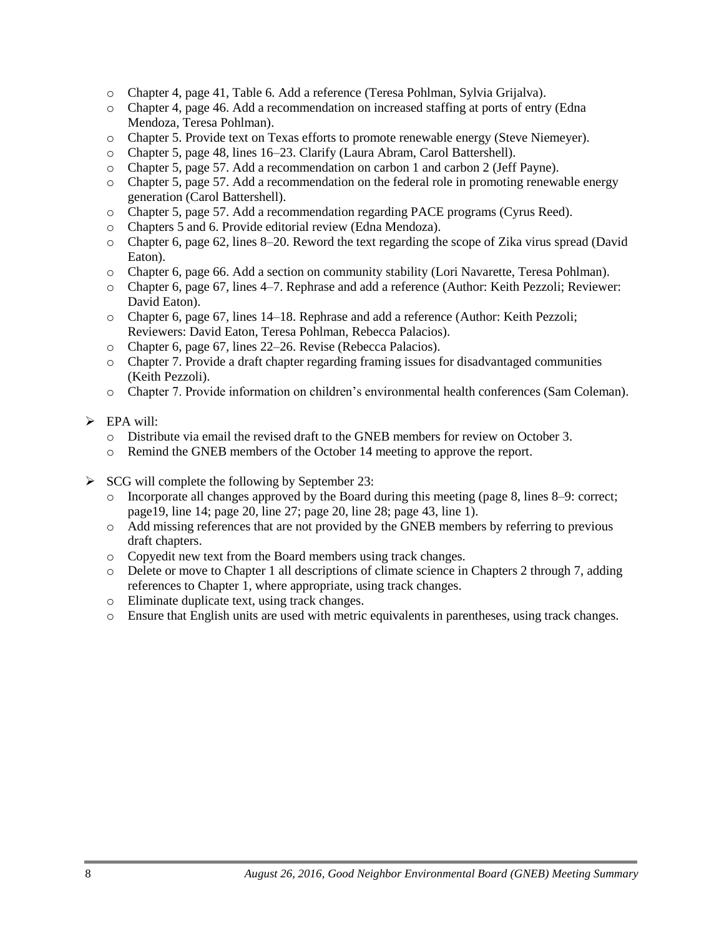- o Chapter 4, page 41, Table 6. Add a reference (Teresa Pohlman, Sylvia Grijalva).
- o Chapter 4, page 46. Add a recommendation on increased staffing at ports of entry (Edna Mendoza, Teresa Pohlman).
- o Chapter 5. Provide text on Texas efforts to promote renewable energy (Steve Niemeyer).
- o Chapter 5, page 48, lines 16–23. Clarify (Laura Abram, Carol Battershell).
- o Chapter 5, page 57. Add a recommendation on carbon 1 and carbon 2 (Jeff Payne).
- o Chapter 5, page 57. Add a recommendation on the federal role in promoting renewable energy generation (Carol Battershell).
- o Chapter 5, page 57. Add a recommendation regarding PACE programs (Cyrus Reed).
- o Chapters 5 and 6. Provide editorial review (Edna Mendoza).
- o Chapter 6, page 62, lines 8–20. Reword the text regarding the scope of Zika virus spread (David Eaton).
- o Chapter 6, page 66. Add a section on community stability (Lori Navarette, Teresa Pohlman).
- o Chapter 6, page 67, lines 4–7. Rephrase and add a reference (Author: Keith Pezzoli; Reviewer: David Eaton).
- o Chapter 6, page 67, lines 14–18. Rephrase and add a reference (Author: Keith Pezzoli; Reviewers: David Eaton, Teresa Pohlman, Rebecca Palacios).
- o Chapter 6, page 67, lines 22–26. Revise (Rebecca Palacios).
- o Chapter 7. Provide a draft chapter regarding framing issues for disadvantaged communities (Keith Pezzoli).
- o Chapter 7. Provide information on children's environmental health conferences (Sam Coleman).
- $\triangleright$  EPA will:
	- o Distribute via email the revised draft to the GNEB members for review on October 3.
	- o Remind the GNEB members of the October 14 meeting to approve the report.
- $\triangleright$  SCG will complete the following by September 23:
	- o Incorporate all changes approved by the Board during this meeting (page 8, lines 8–9: correct; page19, line 14; page 20, line 27; page 20, line 28; page 43, line 1).
	- o Add missing references that are not provided by the GNEB members by referring to previous draft chapters.
	- o Copyedit new text from the Board members using track changes.
	- o Delete or move to Chapter 1 all descriptions of climate science in Chapters 2 through 7, adding references to Chapter 1, where appropriate, using track changes.
	- o Eliminate duplicate text, using track changes.
	- o Ensure that English units are used with metric equivalents in parentheses, using track changes.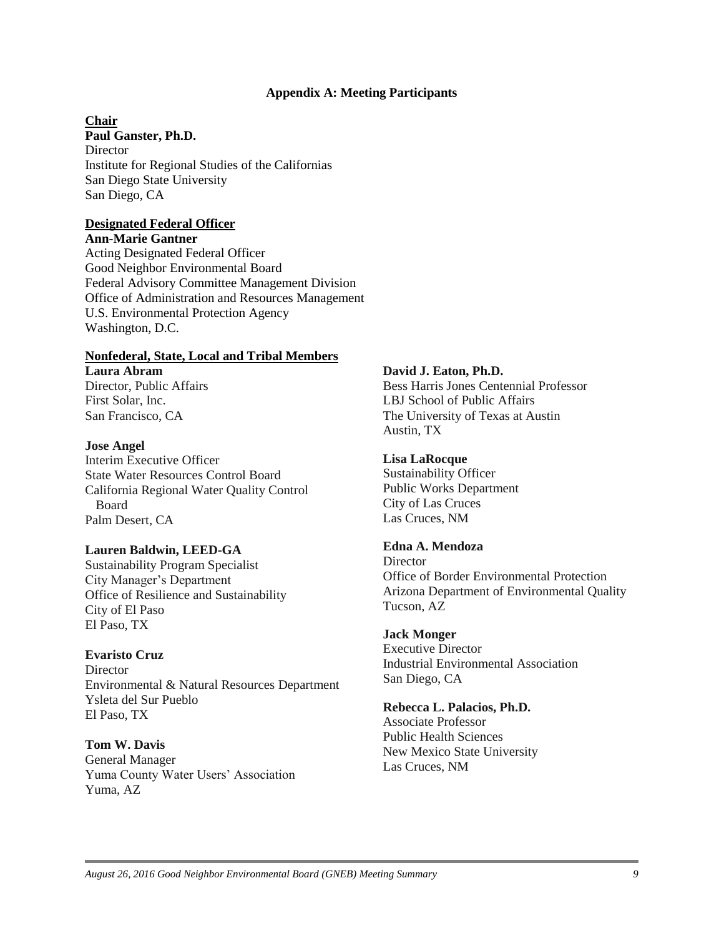### **Appendix A: Meeting Participants**

#### **Chair**

**Paul Ganster, Ph.D. Director** Institute for Regional Studies of the Californias San Diego State University San Diego, CA

### **Designated Federal Officer**

**Ann-Marie Gantner** Acting Designated Federal Officer Good Neighbor Environmental Board Federal Advisory Committee Management Division Office of Administration and Resources Management U.S. Environmental Protection Agency Washington, D.C.

### **Nonfederal, State, Local and Tribal Members**

**Laura Abram** Director, Public Affairs First Solar, Inc. San Francisco, CA

### **Jose Angel**

Interim Executive Officer State Water Resources Control Board California Regional Water Quality Control Board Palm Desert, CA

### **Lauren Baldwin, LEED-GA**

Sustainability Program Specialist City Manager's Department Office of Resilience and Sustainability City of El Paso El Paso, TX

### **Evaristo Cruz**

**Director** Environmental & Natural Resources Department Ysleta del Sur Pueblo El Paso, TX

### **Tom W. Davis**

General Manager Yuma County Water Users' Association Yuma, AZ

### **David J. Eaton, Ph.D.**

Bess Harris Jones Centennial Professor LBJ School of Public Affairs The University of Texas at Austin Austin, TX

### **Lisa LaRocque**

Sustainability Officer Public Works Department City of Las Cruces Las Cruces, NM

## **Edna A. Mendoza**

**Director** Office of Border Environmental Protection Arizona Department of Environmental Quality Tucson, AZ

### **Jack Monger**

Executive Director Industrial Environmental Association San Diego, CA

### **Rebecca L. Palacios, Ph.D.**

Associate Professor Public Health Sciences New Mexico State University Las Cruces, NM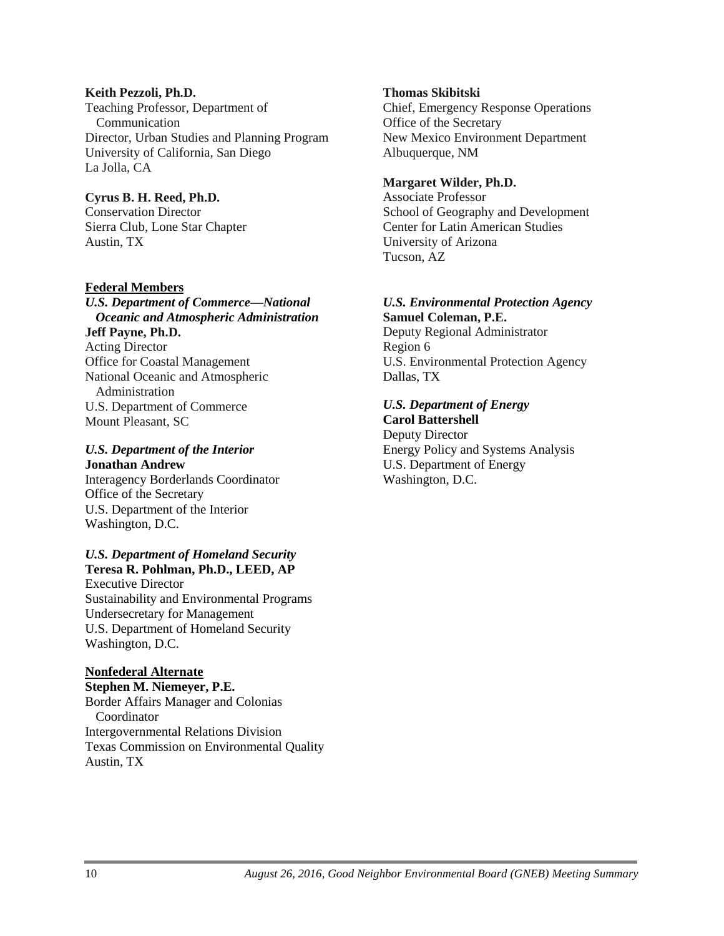### **Keith Pezzoli, Ph.D.** Teaching Professor, Department of Communication Director, Urban Studies and Planning Program University of California, San Diego La Jolla, CA

## **Cyrus B. H. Reed, Ph.D.**

Conservation Director Sierra Club, Lone Star Chapter Austin, TX

## **Federal Members**

*U.S. Department of Commerce—National Oceanic and Atmospheric Administration* **Jeff Payne, Ph.D.** Acting Director Office for Coastal Management National Oceanic and Atmospheric Administration U.S. Department of Commerce Mount Pleasant, SC

## *U.S. Department of the Interior* **Jonathan Andrew**

Interagency Borderlands Coordinator Office of the Secretary U.S. Department of the Interior Washington, D.C.

## *U.S. Department of Homeland Security*  **Teresa R. Pohlman, Ph.D., LEED, AP**

Executive Director Sustainability and Environmental Programs Undersecretary for Management U.S. Department of Homeland Security Washington, D.C.

## **Nonfederal Alternate**

**Stephen M. Niemeyer, P.E.** Border Affairs Manager and Colonias Coordinator Intergovernmental Relations Division Texas Commission on Environmental Quality Austin, TX

## **Thomas Skibitski**

Chief, Emergency Response Operations Office of the Secretary New Mexico Environment Department Albuquerque, NM

## **Margaret Wilder, Ph.D.**

Associate Professor School of Geography and Development Center for Latin American Studies University of Arizona Tucson, AZ

# *U.S. Environmental Protection Agency*

**Samuel Coleman, P.E.** Deputy Regional Administrator Region 6 U.S. Environmental Protection Agency Dallas, TX

## *U.S. Department of Energy*

**Carol Battershell** Deputy Director Energy Policy and Systems Analysis U.S. Department of Energy Washington, D.C.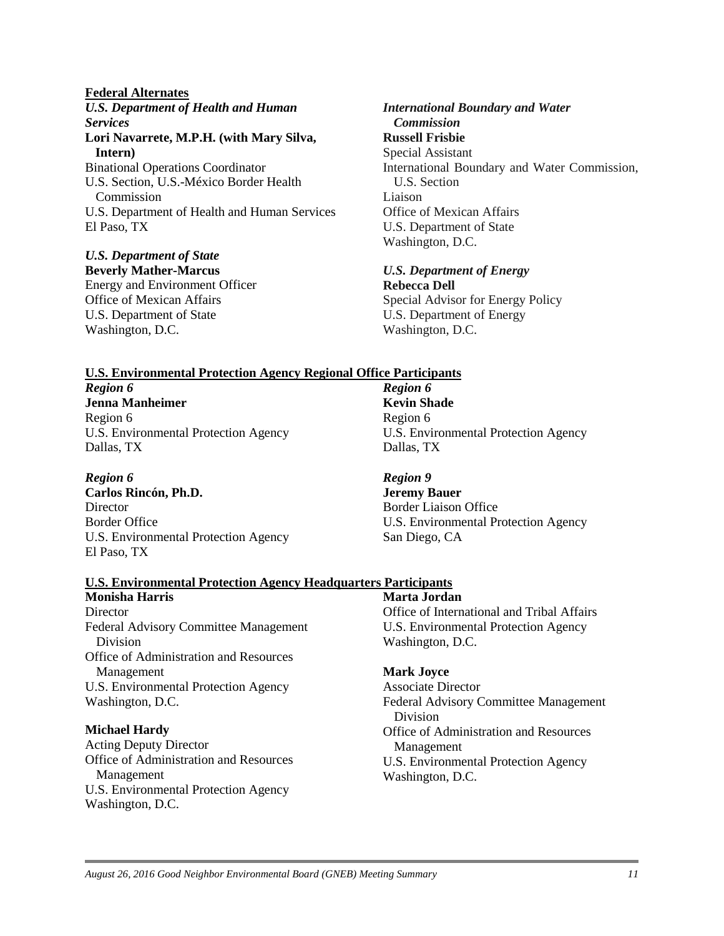### **Federal Alternates**

*U.S. Department of Health and Human Services* **Lori Navarrete, M.P.H. (with Mary Silva, Intern)** Binational Operations Coordinator U.S. Section, U.S.-México Border Health Commission U.S. Department of Health and Human Services El Paso, TX

### *U.S. Department of State*

**Beverly Mather-Marcus** Energy and Environment Officer Office of Mexican Affairs U.S. Department of State Washington, D.C.

### *International Boundary and Water Commission* **Russell Frisbie** Special Assistant International Boundary and Water Commission, U.S. Section Liaison Office of Mexican Affairs U.S. Department of State Washington, D.C.

*U.S. Department of Energy*

**Rebecca Dell** Special Advisor for Energy Policy U.S. Department of Energy Washington, D.C.

### **U.S. Environmental Protection Agency Regional Office Participants**

*Region 6* **Jenna Manheimer** Region 6 U.S. Environmental Protection Agency Dallas, TX

### *Region 6*

**Carlos Rincón, Ph.D. Director** Border Office U.S. Environmental Protection Agency El Paso, TX

*Region 6* **Kevin Shade** Region 6 U.S. Environmental Protection Agency Dallas, TX

*Region 9* **Jeremy Bauer** Border Liaison Office U.S. Environmental Protection Agency San Diego, CA

## **U.S. Environmental Protection Agency Headquarters Participants**

**Monisha Harris Director** Federal Advisory Committee Management Division Office of Administration and Resources Management U.S. Environmental Protection Agency Washington, D.C.

### **Michael Hardy**

Acting Deputy Director Office of Administration and Resources Management U.S. Environmental Protection Agency Washington, D.C.

**Marta Jordan** Office of International and Tribal Affairs U.S. Environmental Protection Agency Washington, D.C.

### **Mark Joyce**

Associate Director Federal Advisory Committee Management Division Office of Administration and Resources Management U.S. Environmental Protection Agency Washington, D.C.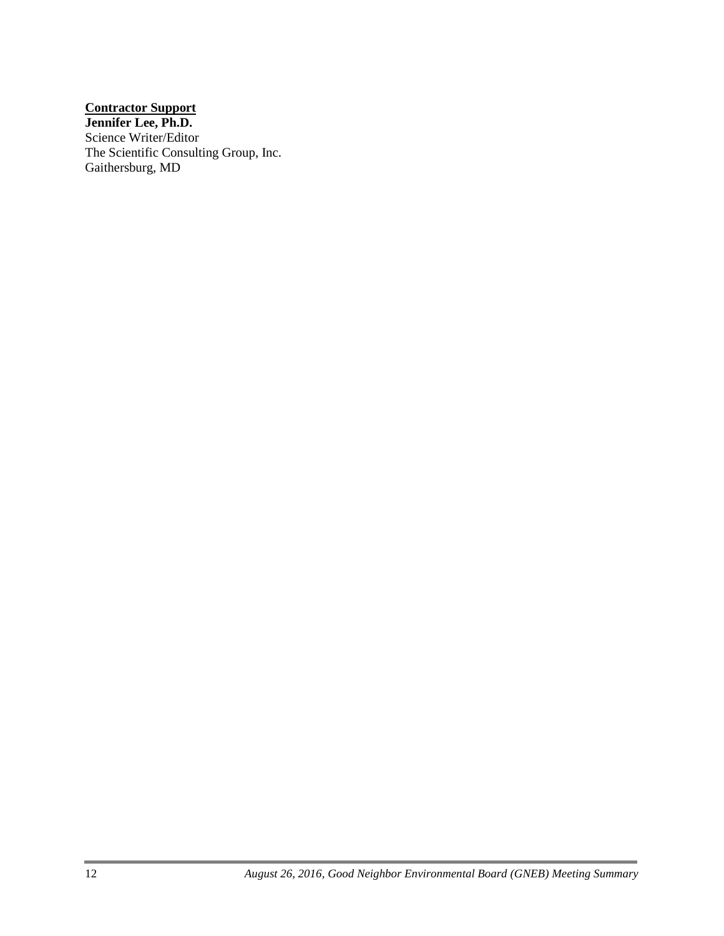### **Contractor Support**

**Jennifer Lee, Ph.D.** Science Writer/Editor The Scientific Consulting Group, Inc. Gaithersburg, MD